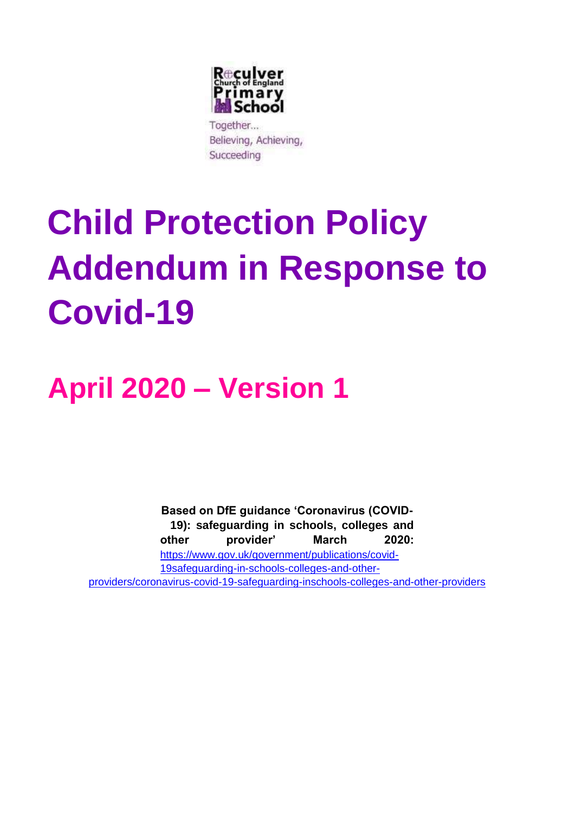

Together... Believing, Achieving, Succeeding

# **Child Protection Policy Addendum in Response to Covid-19**

## **April 2020 – Version 1**

**Based on DfE guidance 'Coronavirus (COVID-19): safeguarding in schools, colleges and other provider' March 2020:**  [https://www.gov.uk/government/publications/covid-](https://www.gov.uk/government/publications/covid-19-safeguarding-in-schools-colleges-and-other-providers/coronavirus-covid-19-safeguarding-in-schools-colleges-and-other-providers)[19safeguarding-in-schools-colleges-and-other](https://www.gov.uk/government/publications/covid-19-safeguarding-in-schools-colleges-and-other-providers/coronavirus-covid-19-safeguarding-in-schools-colleges-and-other-providers)[providers/coronavirus-covid-19-safeguarding-inschools-colleges-and-other-providers](https://www.gov.uk/government/publications/covid-19-safeguarding-in-schools-colleges-and-other-providers/coronavirus-covid-19-safeguarding-in-schools-colleges-and-other-providers)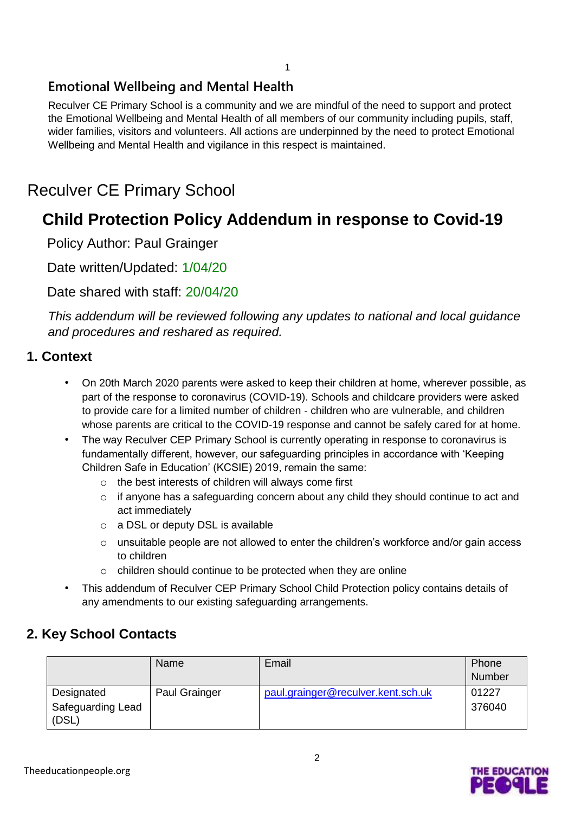#### 1

#### **Emotional Wellbeing and Mental Health**

Reculver CE Primary School is a community and we are mindful of the need to support and protect the Emotional Wellbeing and Mental Health of all members of our community including pupils, staff, wider families, visitors and volunteers. All actions are underpinned by the need to protect Emotional Wellbeing and Mental Health and vigilance in this respect is maintained.

### Reculver CE Primary School

## **Child Protection Policy Addendum in response to Covid-19**

Policy Author: Paul Grainger

Date written/Updated: 1/04/20

Date shared with staff: 20/04/20

*This addendum will be reviewed following any updates to national and local guidance and procedures and reshared as required.* 

#### **1. Context**

- On 20th March 2020 parents were asked to keep their children at home, wherever possible, as part of the response to coronavirus (COVID-19). Schools and childcare providers were asked to provide care for a limited number of children - children who are vulnerable, and children whose parents are critical to the COVID-19 response and cannot be safely cared for at home.
- The way Reculver CEP Primary School is currently operating in response to coronavirus is fundamentally different, however, our safeguarding principles in accordance with 'Keeping Children Safe in Education' (KCSIE) 2019, remain the same:
	- o the best interests of children will always come first
	- o if anyone has a safeguarding concern about any child they should continue to act and act immediately
	- o a DSL or deputy DSL is available
	- o unsuitable people are not allowed to enter the children's workforce and/or gain access to children
	- o children should continue to be protected when they are online
- This addendum of Reculver CEP Primary School Child Protection policy contains details of any amendments to our existing safeguarding arrangements.

#### **2. Key School Contacts**

|                                          | Name          | Email                              | Phone<br>Number |
|------------------------------------------|---------------|------------------------------------|-----------------|
| Designated<br>Safeguarding Lead<br>(DSL) | Paul Grainger | paul.grainger@reculver.kent.sch.uk | 01227<br>376040 |

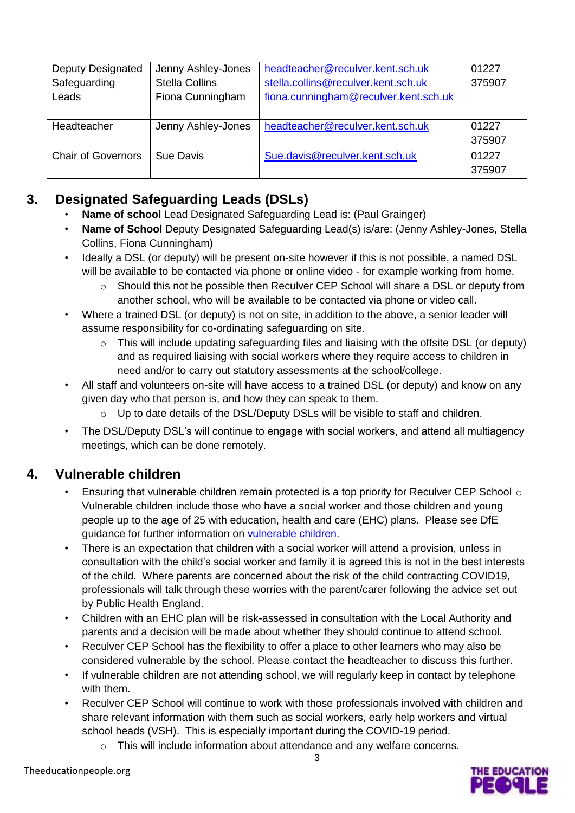| <b>Deputy Designated</b>  | Jenny Ashley-Jones    | headteacher@reculver.kent.sch.uk      | 01227  |
|---------------------------|-----------------------|---------------------------------------|--------|
| Safeguarding              | <b>Stella Collins</b> | stella.collins@reculver.kent.sch.uk   | 375907 |
| Leads                     | Fiona Cunningham      | fiona.cunningham@reculver.kent.sch.uk |        |
|                           |                       |                                       |        |
| Headteacher               | Jenny Ashley-Jones    | headteacher@reculver.kent.sch.uk      | 01227  |
|                           |                       |                                       | 375907 |
| <b>Chair of Governors</b> | Sue Davis             | Sue.davis@reculver.kent.sch.uk        | 01227  |
|                           |                       |                                       | 375907 |

#### **3. Designated Safeguarding Leads (DSLs)**

- **Name of school** Lead Designated Safeguarding Lead is: (Paul Grainger)
- **Name of School** Deputy Designated Safeguarding Lead(s) is/are: (Jenny Ashley-Jones, Stella Collins, Fiona Cunningham)
- Ideally a DSL (or deputy) will be present on-site however if this is not possible, a named DSL will be available to be contacted via phone or online video - for example working from home.
	- o Should this not be possible then Reculver CEP School will share a DSL or deputy from another school, who will be available to be contacted via phone or video call.
- Where a trained DSL (or deputy) is not on site, in addition to the above, a senior leader will assume responsibility for co-ordinating safeguarding on site.
	- o This will include updating safeguarding files and liaising with the offsite DSL (or deputy) and as required liaising with social workers where they require access to children in need and/or to carry out statutory assessments at the school/college.
- All staff and volunteers on-site will have access to a trained DSL (or deputy) and know on any given day who that person is, and how they can speak to them.
	- o Up to date details of the DSL/Deputy DSLs will be visible to staff and children.
- The DSL/Deputy DSL's will continue to engage with social workers, and attend all multiagency meetings, which can be done remotely.

#### **4. Vulnerable children**

- Ensuring that vulnerable children remain protected is a top priority for Reculver CEP School  $\circ$ Vulnerable children include those who have a social worker and those children and young people up to the age of 25 with education, health and care (EHC) plans. Please see DfE guidance for further information o[n](https://www.gov.uk/government/publications/coronavirus-covid-19-guidance-on-vulnerable-children-and-young-people/coronavirus-covid-19-guidance-on-vulnerable-children-and-young-people) [vulnerable children.](https://www.gov.uk/government/publications/coronavirus-covid-19-guidance-on-vulnerable-children-and-young-people/coronavirus-covid-19-guidance-on-vulnerable-children-and-young-people)
- There is an expectation that children with a social worker will attend a provision, unless in consultation with the child's social worker and family it is agreed this is not in the best interests of the child. Where parents are concerned about the risk of the child contracting COVID19, professionals will talk through these worries with the parent/carer following the advice set out by Public Health England.
- Children with an EHC plan will be risk-assessed in consultation with the Local Authority and parents and a decision will be made about whether they should continue to attend school.
- Reculver CEP School has the flexibility to offer a place to other learners who may also be considered vulnerable by the school. Please contact the headteacher to discuss this further.
- If vulnerable children are not attending school, we will regularly keep in contact by telephone with them.
- Reculver CEP School will continue to work with those professionals involved with children and share relevant information with them such as social workers, early help workers and virtual school heads (VSH). This is especially important during the COVID-19 period.
	- o This will include information about attendance and any welfare concerns.

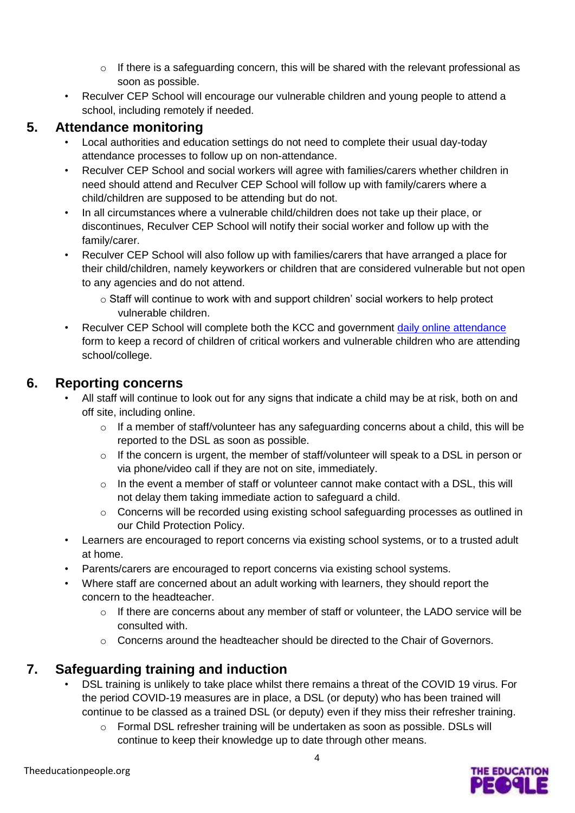- o If there is a safeguarding concern, this will be shared with the relevant professional as soon as possible.
- Reculver CEP School will encourage our vulnerable children and young people to attend a school, including remotely if needed.

#### **5. Attendance monitoring**

- Local authorities and education settings do not need to complete their usual day-today attendance processes to follow up on non-attendance.
- Reculver CEP School and social workers will agree with families/carers whether children in need should attend and Reculver CEP School will follow up with family/carers where a child/children are supposed to be attending but do not.
- In all circumstances where a vulnerable child/children does not take up their place, or discontinues, Reculver CEP School will notify their social worker and follow up with the family/carer.
- Reculver CEP School will also follow up with families/carers that have arranged a place for their child/children, namely keyworkers or children that are considered vulnerable but not open to any agencies and do not attend.
	- o Staff will continue to work with and support children' social workers to help protect vulnerable children.
- Reculver CEP School will complete both the KCC and government daily online attendance form to keep a record of children of critical workers and vulnerable children who are attending school/college.

#### **6. Reporting concerns**

- All staff will continue to look out for any signs that indicate a child may be at risk, both on and off site, including online.
	- o If a member of staff/volunteer has any safeguarding concerns about a child, this will be reported to the DSL as soon as possible.
	- o If the concern is urgent, the member of staff/volunteer will speak to a DSL in person or via phone/video call if they are not on site, immediately.
	- o In the event a member of staff or volunteer cannot make contact with a DSL, this will not delay them taking immediate action to safeguard a child.
	- o Concerns will be recorded using existing school safeguarding processes as outlined in our Child Protection Policy.
- Learners are encouraged to report concerns via existing school systems, or to a trusted adult at home.
- Parents/carers are encouraged to report concerns via existing school systems.
- Where staff are concerned about an adult working with learners, they should report the concern to the headteacher.
	- o If there are concerns about any member of staff or volunteer, the LADO service will be consulted with.
	- $\circ$  Concerns around the headteacher should be directed to the Chair of Governors.

#### **7. Safeguarding training and induction**

- DSL training is unlikely to take place whilst there remains a threat of the COVID 19 virus. For the period COVID-19 measures are in place, a DSL (or deputy) who has been trained will continue to be classed as a trained DSL (or deputy) even if they miss their refresher training.
	- $\circ$  Formal DSL refresher training will be undertaken as soon as possible. DSLs will continue to keep their knowledge up to date through other means.

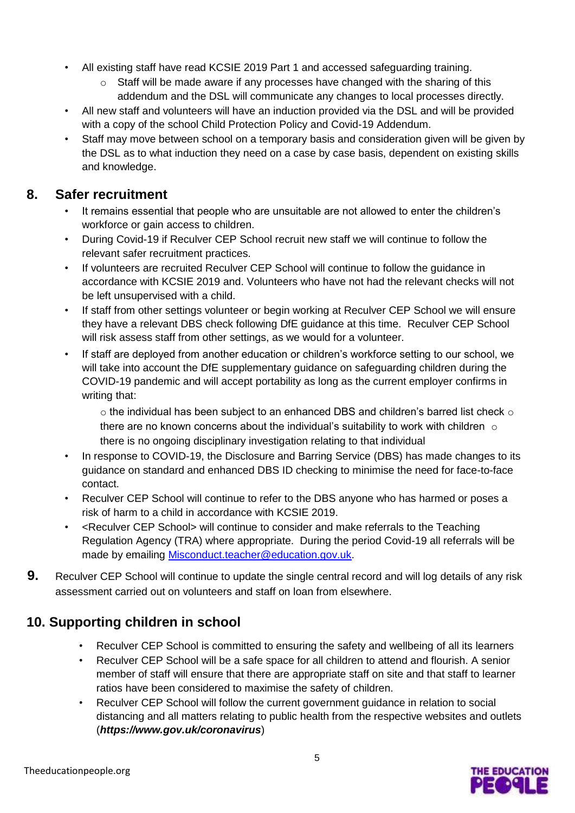- All existing staff have read KCSIE 2019 Part 1 and accessed safeguarding training.
	- $\circ$  Staff will be made aware if any processes have changed with the sharing of this addendum and the DSL will communicate any changes to local processes directly.
- All new staff and volunteers will have an induction provided via the DSL and will be provided with a copy of the school Child Protection Policy and Covid-19 Addendum.
- Staff may move between school on a temporary basis and consideration given will be given by the DSL as to what induction they need on a case by case basis, dependent on existing skills and knowledge.

#### **8. Safer recruitment**

- It remains essential that people who are unsuitable are not allowed to enter the children's workforce or gain access to children.
- During Covid-19 if Reculver CEP School recruit new staff we will continue to follow the relevant safer recruitment practices.
- If volunteers are recruited Reculver CEP School will continue to follow the guidance in accordance with KCSIE 2019 and. Volunteers who have not had the relevant checks will not be left unsupervised with a child.
- If staff from other settings volunteer or begin working at Reculver CEP School we will ensure they have a relevant DBS check following DfE guidance at this time. Reculver CEP School will risk assess staff from other settings, as we would for a volunteer.
- If staff are deployed from another education or children's workforce setting to our school, we will take into account the DfE supplementary guidance on safeguarding children during the COVID-19 pandemic and will accept portability as long as the current employer confirms in writing that:

 $\circ$  the individual has been subject to an enhanced DBS and children's barred list check  $\circ$ there are no known concerns about the individual's suitability to work with children  $\circ$ there is no ongoing disciplinary investigation relating to that individual

- In response to COVID-19, the Disclosure and Barring Service (DBS) has made changes to its guidance on standard and enhanced DBS ID checking to minimise the need for face-to-face contact.
- Reculver CEP School will continue to refer to the DBS anyone who has harmed or poses a risk of harm to a child in accordance with KCSIE 2019.
- <Reculver CEP School> will continue to consider and make referrals to the Teaching Regulation Agency (TRA) where appropriate. During the period Covid-19 all referrals will be made by emailing Misconduct.teacher@education.gov.uk.
- **9.** Reculver CEP School will continue to update the single central record and will log details of any risk assessment carried out on volunteers and staff on loan from elsewhere.

#### **10. Supporting children in school**

- Reculver CEP School is committed to ensuring the safety and wellbeing of all its learners
- Reculver CEP School will be a safe space for all children to attend and flourish. A senior member of staff will ensure that there are appropriate staff on site and that staff to learner ratios have been considered to maximise the safety of children.
- Reculver CEP School will follow the current government guidance in relation to social distancing and all matters relating to public health from the respective websites and outlets (*https://www.gov.uk/coronavirus*)

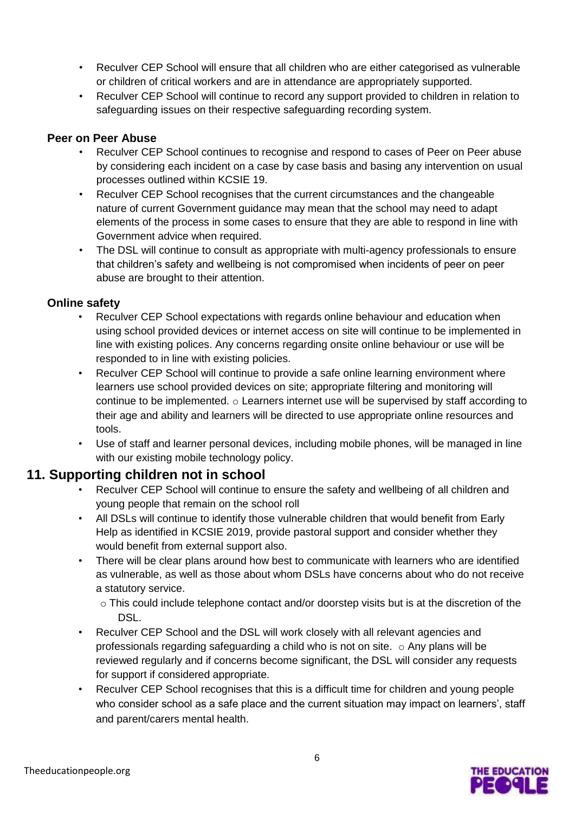- Reculver CEP School will ensure that all children who are either categorised as vulnerable or children of critical workers and are in attendance are appropriately supported.
- Reculver CEP School will continue to record any support provided to children in relation to safeguarding issues on their respective safeguarding recording system.

#### **Peer on Peer Abuse**

- Reculver CEP School continues to recognise and respond to cases of Peer on Peer abuse by considering each incident on a case by case basis and basing any intervention on usual processes outlined within KCSIE 19.
- Reculver CEP School recognises that the current circumstances and the changeable nature of current Government guidance may mean that the school may need to adapt elements of the process in some cases to ensure that they are able to respond in line with Government advice when required.
- The DSL will continue to consult as appropriate with multi-agency professionals to ensure that children's safety and wellbeing is not compromised when incidents of peer on peer abuse are brought to their attention.

#### **Online safety**

- Reculver CEP School expectations with regards online behaviour and education when using school provided devices or internet access on site will continue to be implemented in line with existing polices. Any concerns regarding onsite online behaviour or use will be responded to in line with existing policies.
- Reculver CEP School will continue to provide a safe online learning environment where learners use school provided devices on site; appropriate filtering and monitoring will continue to be implemented.  $\circ$  Learners internet use will be supervised by staff according to their age and ability and learners will be directed to use appropriate online resources and tools.
- Use of staff and learner personal devices, including mobile phones, will be managed in line with our existing mobile technology policy.

#### **11. Supporting children not in school**

- Reculver CEP School will continue to ensure the safety and wellbeing of all children and young people that remain on the school roll
- All DSLs will continue to identify those vulnerable children that would benefit from Early Help as identified in KCSIE 2019, provide pastoral support and consider whether they would benefit from external support also.
- There will be clear plans around how best to communicate with learners who are identified as vulnerable, as well as those about whom DSLs have concerns about who do not receive a statutory service.
	- o This could include telephone contact and/or doorstep visits but is at the discretion of the DSL.
- Reculver CEP School and the DSL will work closely with all relevant agencies and professionals regarding safeguarding a child who is not on site.  $\circ$  Any plans will be reviewed regularly and if concerns become significant, the DSL will consider any requests for support if considered appropriate.
- Reculver CEP School recognises that this is a difficult time for children and young people who consider school as a safe place and the current situation may impact on learners', staff and parent/carers mental health.

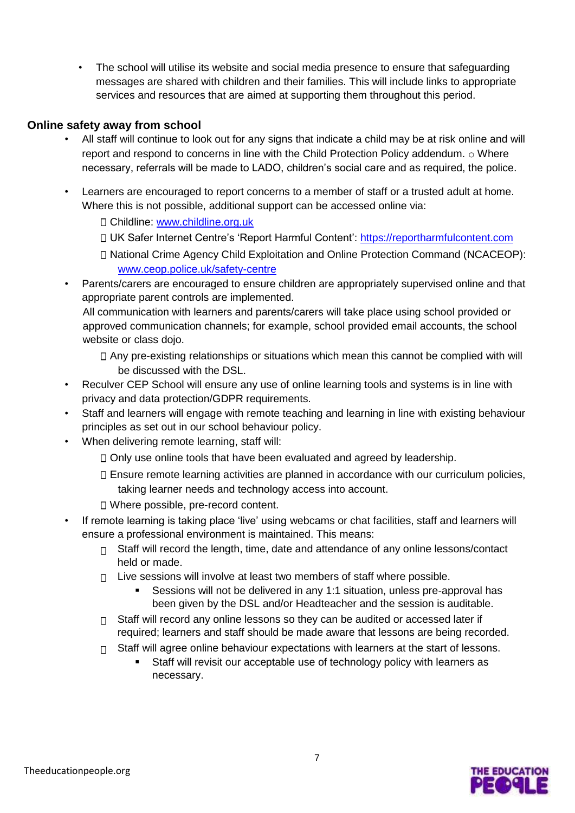• The school will utilise its website and social media presence to ensure that safeguarding messages are shared with children and their families. This will include links to appropriate services and resources that are aimed at supporting them throughout this period.

#### **Online safety away from school**

- All staff will continue to look out for any signs that indicate a child may be at risk online and will report and respond to concerns in line with the Child Protection Policy addendum. o Where necessary, referrals will be made to LADO, children's social care and as required, the police.
- Learners are encouraged to report concerns to a member of staff or a trusted adult at home. Where this is not possible, additional support can be accessed online via:
	- Childline: [www.childline.org.uk](http://www.childline.org.uk/)
	- UK Safer Internet Centre's 'Report Harmful Content': [https://reportharmfulcontent.com](https://reportharmfulcontent.com/)
	- National Crime Agency Child Exploitation and Online Protection Command (NCACEOP): [www.ceop.police.uk/safety-centre](https://www.ceop.police.uk/safety-centre/)
- Parents/carers are encouraged to ensure children are appropriately supervised online and that appropriate parent controls are implemented.

All communication with learners and parents/carers will take place using school provided or approved communication channels; for example, school provided email accounts, the school website or class dojo.

Any pre-existing relationships or situations which mean this cannot be complied with will be discussed with the DSL.

- Reculver CEP School will ensure any use of online learning tools and systems is in line with privacy and data protection/GDPR requirements.
- Staff and learners will engage with remote teaching and learning in line with existing behaviour principles as set out in our school behaviour policy.
- When delivering remote learning, staff will:
	- $\Box$  Only use online tools that have been evaluated and agreed by leadership.
	- Ensure remote learning activities are planned in accordance with our curriculum policies, taking learner needs and technology access into account.
	- Where possible, pre-record content.
- If remote learning is taking place 'live' using webcams or chat facilities, staff and learners will ensure a professional environment is maintained. This means:
	- $\Box$  Staff will record the length, time, date and attendance of any online lessons/contact held or made.
	- $\Box$  Live sessions will involve at least two members of staff where possible.
		- Sessions will not be delivered in any 1:1 situation, unless pre-approval has been given by the DSL and/or Headteacher and the session is auditable.
	- $\Box$  Staff will record any online lessons so they can be audited or accessed later if required; learners and staff should be made aware that lessons are being recorded.
	- $\Box$  Staff will agree online behaviour expectations with learners at the start of lessons.
		- Staff will revisit our acceptable use of technology policy with learners as necessary.

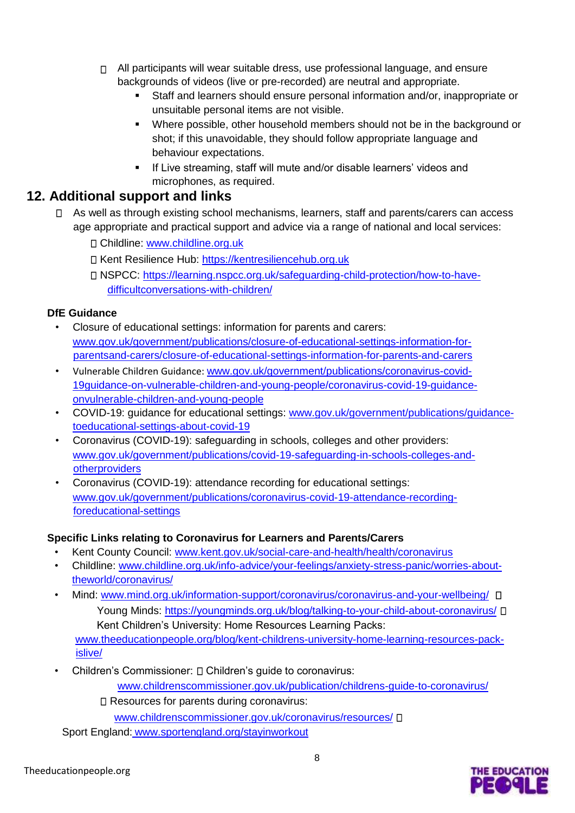- $\Box$  All participants will wear suitable dress, use professional language, and ensure backgrounds of videos (live or pre-recorded) are neutral and appropriate.
	- Staff and learners should ensure personal information and/or, inappropriate or unsuitable personal items are not visible.
	- Where possible, other household members should not be in the background or shot; if this unavoidable, they should follow appropriate language and behaviour expectations.
	- **If Live streaming, staff will mute and/or disable learners' videos and** microphones, as required.

#### **12. Additional support and links**

- □ As well as through existing school mechanisms, learners, staff and parents/carers can access age appropriate and practical support and advice via a range of national and local services:
	- Childline: [www.childline.org.uk](https://www.childline.org.uk/)
	- Kent Resilience Hub: [https://kentresiliencehub.org.uk](https://kentresiliencehub.org.uk/)
	- NSPCC: [https://learning.nspcc.org.uk/safeguarding-child-protection/how-to-have](https://learning.nspcc.org.uk/safeguarding-child-protection/how-to-have-difficult-conversations-with-children/)[difficultconversations-with-children/](https://learning.nspcc.org.uk/safeguarding-child-protection/how-to-have-difficult-conversations-with-children/)

#### **DfE Guidance**

- Closure of educational settings: information for parents and carers: [www.gov.uk/government/publications/closure-of-educational-settings-information-for](https://www.gov.uk/government/publications/closure-of-educational-settings-information-for-parents-and-carers/closure-of-educational-settings-information-for-parents-and-carers)[parentsand-carers/closure-of-educational-settings-information-for-parents-and-carers](https://www.gov.uk/government/publications/closure-of-educational-settings-information-for-parents-and-carers/closure-of-educational-settings-information-for-parents-and-carers)
- Vulnerable Children Guidance: [www.gov.uk/government/publications/coronavirus-covid-](https://www.gov.uk/government/publications/coronavirus-covid-19-guidance-on-vulnerable-children-and-young-people/coronavirus-covid-19-guidance-on-vulnerable-children-and-young-people)[19guidance-on-vulnerable-children-and-young-people/coronavirus-covid-19-guidance](https://www.gov.uk/government/publications/coronavirus-covid-19-guidance-on-vulnerable-children-and-young-people/coronavirus-covid-19-guidance-on-vulnerable-children-and-young-people)[onvulnerable-children-and-young-people](https://www.gov.uk/government/publications/coronavirus-covid-19-guidance-on-vulnerable-children-and-young-people/coronavirus-covid-19-guidance-on-vulnerable-children-and-young-people)
- COVID-19: guidance for educational settings: [www.gov.uk/government/publications/guidance](http://www.gov.uk/government/publications/guidance-to-educational-settings-about-covid-19)[toeducational-settings-about-covid-19](http://www.gov.uk/government/publications/guidance-to-educational-settings-about-covid-19)
- Coronavirus (COVID-19): safeguarding in schools, colleges and other providers: [www.gov.uk/government/publications/covid-19-safeguarding-in-schools-colleges-and](http://www.gov.uk/government/publications/covid-19-safeguarding-in-schools-colleges-and-other-providers)[otherproviders](http://www.gov.uk/government/publications/covid-19-safeguarding-in-schools-colleges-and-other-providers)
- Coronavirus (COVID-19): attendance recording for educational settings: [www.gov.uk/government/publications/coronavirus-covid-19-attendance-recording](http://www.gov.uk/government/publications/coronavirus-covid-19-attendance-recording-for-educational-settings)[foreducational-settings](http://www.gov.uk/government/publications/coronavirus-covid-19-attendance-recording-for-educational-settings)

#### **Specific Links relating to Coronavirus for Learners and Parents/Carers**

- Kent County Council: [www.kent.gov.uk/social-care-and-health/health/coronavirus](http://www.kent.gov.uk/social-care-and-health/health/coronavirus)
- Childline: [www.childline.org.uk/info-advice/your-feelings/anxiety-stress-panic/worries-about](http://www.childline.org.uk/info-advice/your-feelings/anxiety-stress-panic/worries-about-the-world/coronavirus/)[theworld/coronavirus/](http://www.childline.org.uk/info-advice/your-feelings/anxiety-stress-panic/worries-about-the-world/coronavirus/)
- Mind: [www.mind.org.uk/information-support/coronavirus/coronavirus-and-your-wellbeing/](http://www.mind.org.uk/information-support/coronavirus/coronavirus-and-your-wellbeing/) Young Minds[:](https://youngminds.org.uk/blog/talking-to-your-child-about-coronavirus/) <https://youngminds.org.uk/blog/talking-to-your-child-about-coronavirus/>  $\Box$ Kent Children's University: Home Resources Learning Packs: [www.theeducationpeople.org/blog/kent-childrens-university-home-learning-resources-pack](http://www.theeducationpeople.org/blog/kent-childrens-university-home-learning-resources-pack-is-live/)[islive/](http://www.theeducationpeople.org/blog/kent-childrens-university-home-learning-resources-pack-is-live/)
- Children's Commissioner:  $\square$  Children's quide to coronavirus:

[www.childrenscommissioner.gov.uk/publication/childrens-guide-to-coronavirus/](http://www.childrenscommissioner.gov.uk/publication/childrens-guide-to-coronavirus/)

□ Resources for parents during coronavirus:

[www.childrenscommissioner.gov.uk/coronavirus/resources/](http://www.childrenscommissioner.gov.uk/coronavirus/resources/)

Sport England: [www.sportengland.org/stayinworkout](http://www.sportengland.org/stayinworkout)